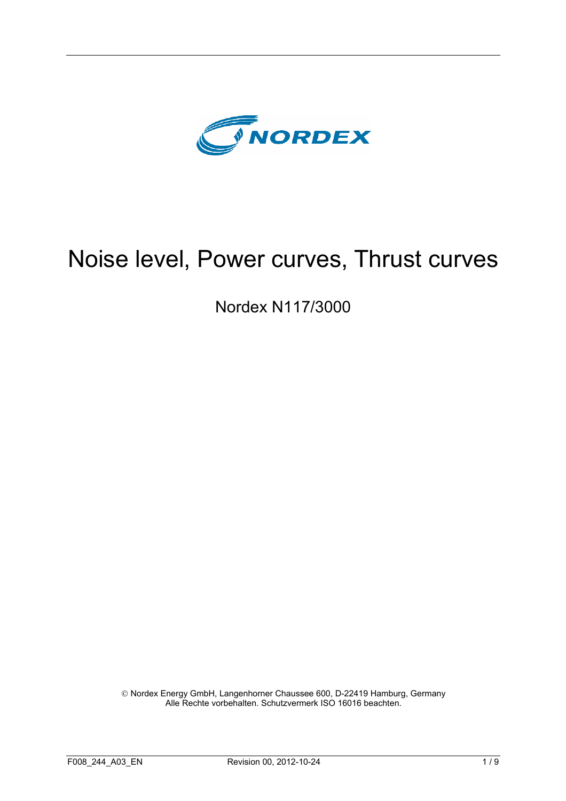

# Noise level, Power curves, Thrust curves

Nordex N117/3000

 Nordex Energy GmbH, Langenhorner Chaussee 600, D-22419 Hamburg, Germany Alle Rechte vorbehalten. Schutzvermerk ISO 16016 beachten.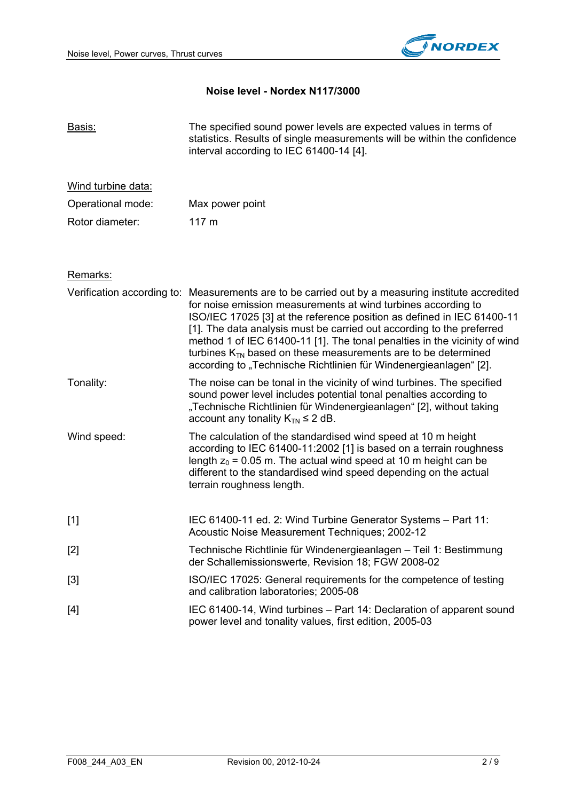

## **Noise level - Nordex N117/3000**

| Basis:             | The specified sound power levels are expected values in terms of<br>statistics. Results of single measurements will be within the confidence<br>interval according to IEC 61400-14 [4].                                                                                                                                                                                                                                                                                                                                                       |
|--------------------|-----------------------------------------------------------------------------------------------------------------------------------------------------------------------------------------------------------------------------------------------------------------------------------------------------------------------------------------------------------------------------------------------------------------------------------------------------------------------------------------------------------------------------------------------|
| Wind turbine data: |                                                                                                                                                                                                                                                                                                                                                                                                                                                                                                                                               |
| Operational mode:  | Max power point                                                                                                                                                                                                                                                                                                                                                                                                                                                                                                                               |
| Rotor diameter:    | 117 <sub>m</sub>                                                                                                                                                                                                                                                                                                                                                                                                                                                                                                                              |
| Remarks:           |                                                                                                                                                                                                                                                                                                                                                                                                                                                                                                                                               |
|                    | Verification according to: Measurements are to be carried out by a measuring institute accredited<br>for noise emission measurements at wind turbines according to<br>ISO/IEC 17025 [3] at the reference position as defined in IEC 61400-11<br>[1]. The data analysis must be carried out according to the preferred<br>method 1 of IEC 61400-11 [1]. The tonal penalties in the vicinity of wind<br>turbines $K_{TN}$ based on these measurements are to be determined<br>according to "Technische Richtlinien für Windenergieanlagen" [2]. |
| Tonality:          | The noise can be tonal in the vicinity of wind turbines. The specified<br>sound power level includes potential tonal penalties according to<br>"Technische Richtlinien für Windenergieanlagen" [2], without taking<br>account any tonality $K_{TN} \leq 2$ dB.                                                                                                                                                                                                                                                                                |
| Wind speed:        | The calculation of the standardised wind speed at 10 m height<br>according to IEC 61400-11:2002 [1] is based on a terrain roughness<br>length $z_0$ = 0.05 m. The actual wind speed at 10 m height can be<br>different to the standardised wind speed depending on the actual<br>terrain roughness length.                                                                                                                                                                                                                                    |
| $[1]$              | IEC 61400-11 ed. 2: Wind Turbine Generator Systems - Part 11:<br>Acoustic Noise Measurement Techniques; 2002-12                                                                                                                                                                                                                                                                                                                                                                                                                               |
| $[2]$              | Technische Richtlinie für Windenergieanlagen - Teil 1: Bestimmung<br>der Schallemissionswerte, Revision 18; FGW 2008-02                                                                                                                                                                                                                                                                                                                                                                                                                       |
| $[3]$              | ISO/IEC 17025: General requirements for the competence of testing<br>and calibration laboratories; 2005-08                                                                                                                                                                                                                                                                                                                                                                                                                                    |
| $[4]$              | IEC 61400-14, Wind turbines - Part 14: Declaration of apparent sound<br>power level and tonality values, first edition, 2005-03                                                                                                                                                                                                                                                                                                                                                                                                               |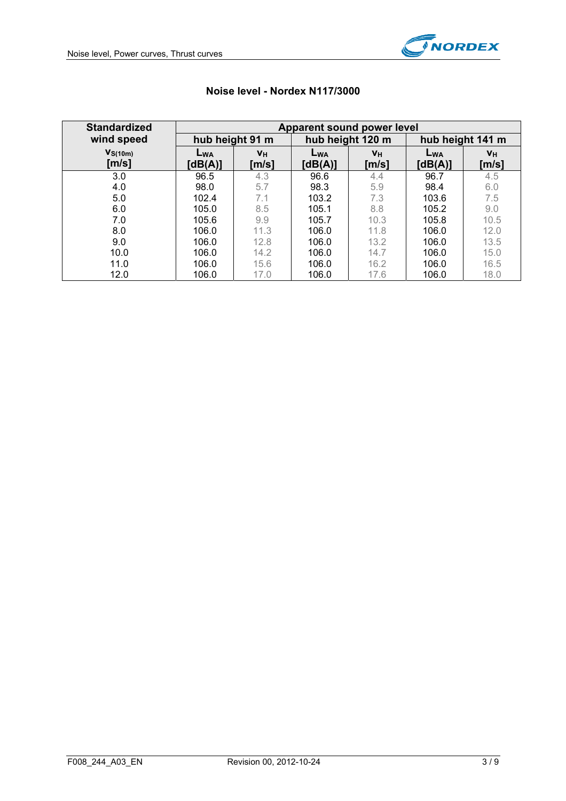

| <b>Standardized</b>   | Apparent sound power level |                 |                     |                           |                     |                |  |  |  |  |
|-----------------------|----------------------------|-----------------|---------------------|---------------------------|---------------------|----------------|--|--|--|--|
| wind speed            |                            | hub height 91 m |                     | hub height 120 m          | hub height 141 m    |                |  |  |  |  |
| $V_{S(10m)}$<br>[m/s] | LWA<br>[dB(A)]             | VH<br>[m/s]     | $L_{WA}$<br>[dB(A)] | $V_H$<br>$\mathsf{[m/s]}$ | $L_{WA}$<br>[dB(A)] | $V_H$<br>[m/s] |  |  |  |  |
| 3.0                   | 96.5                       | 4.3             | 96.6                | 4.4                       | 96.7                | 4.5            |  |  |  |  |
| 4.0                   | 98.0                       | 5.7             | 98.3                | 5.9                       | 98.4                | 6.0            |  |  |  |  |
| 5.0                   | 102.4                      | 7.1             | 103.2               | 7.3                       | 103.6               | 7.5            |  |  |  |  |
| 6.0                   | 105.0                      | 8.5             | 105.1               | 8.8                       | 105.2               | 9.0            |  |  |  |  |
| 7.0                   | 105.6                      | 9.9             | 105.7               | 10.3                      | 105.8               | 10.5           |  |  |  |  |
| 8.0                   | 106.0                      | 11.3            | 106.0               | 11.8                      | 106.0               | 12.0           |  |  |  |  |
| 9.0                   | 106.0                      | 12.8            | 106.0               | 13.2                      | 106.0               | 13.5           |  |  |  |  |
| 10.0                  | 106.0                      | 14.2            | 106.0               | 14.7                      | 106.0               | 15.0           |  |  |  |  |
| 11.0                  | 106.0                      | 15.6            | 106.0               | 16.2                      | 106.0               | 16.5           |  |  |  |  |
| 12.0                  | 106.0                      | 17.0            | 106.0               | 17.6                      | 106.0               | 18.0           |  |  |  |  |

# **Noise level - Nordex N117/3000**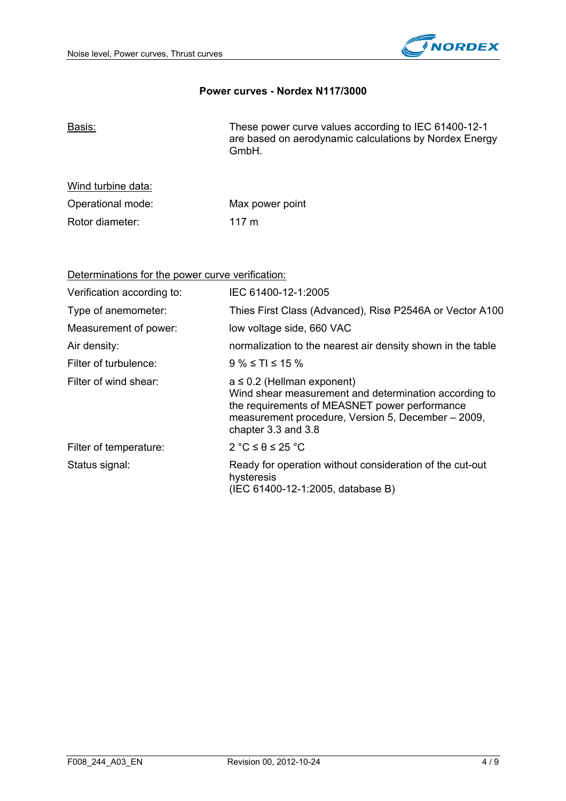

#### **Power curves - Nordex N117/3000**

| <u>Basis:</u> | These power curve values according to IEC 61400-12-1   |
|---------------|--------------------------------------------------------|
|               | are based on aerodynamic calculations by Nordex Energy |
|               | GmbH.                                                  |

| Wind turbine data: |                 |
|--------------------|-----------------|
| Operational mode:  | Max power point |
| Rotor diameter:    | $117 \text{ m}$ |

Determinations for the power curve verification:

| Verification according to: | IEC 61400-12-1:2005                                                                                                                                                                                                    |
|----------------------------|------------------------------------------------------------------------------------------------------------------------------------------------------------------------------------------------------------------------|
| Type of anemometer:        | Thies First Class (Advanced), Risø P2546A or Vector A100                                                                                                                                                               |
| Measurement of power:      | low voltage side, 660 VAC                                                                                                                                                                                              |
| Air density:               | normalization to the nearest air density shown in the table                                                                                                                                                            |
| Filter of turbulence:      | $9\% \le T1 \le 15\%$                                                                                                                                                                                                  |
| Filter of wind shear:      | $a \leq 0.2$ (Hellman exponent)<br>Wind shear measurement and determination according to<br>the requirements of MEASNET power performance<br>measurement procedure, Version 5, December - 2009,<br>chapter 3.3 and 3.8 |
| Filter of temperature:     | $2 °C \le \theta \le 25 °C$                                                                                                                                                                                            |
| Status signal:             | Ready for operation without consideration of the cut-out<br>hysteresis<br>(IEC 61400-12-1:2005, database B)                                                                                                            |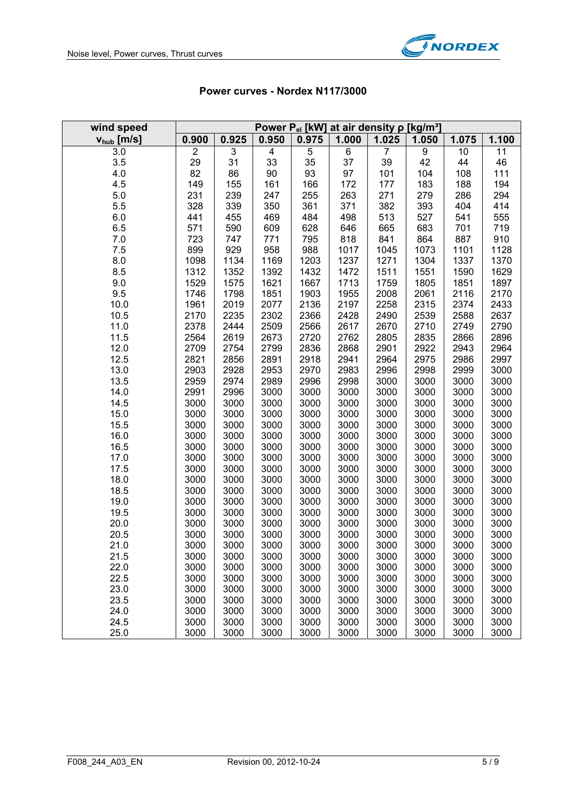

| wind speed      |                |              |              |              | Power P <sub>el</sub> [kW] at air density p [kg/m <sup>3</sup> ] |              |              |              |              |
|-----------------|----------------|--------------|--------------|--------------|------------------------------------------------------------------|--------------|--------------|--------------|--------------|
| $V_{hub}$ [m/s] | 0.900          | 0.925        | 0.950        | 0.975        | 1.000                                                            | 1.025        | 1.050        | 1.075        | 1.100        |
| 3.0             | $\overline{2}$ | 3            | 4            | 5            | 6                                                                | 7            | 9            | 10           | 11           |
| 3.5             | 29             | 31           | 33           | 35           | 37                                                               | 39           | 42           | 44           | 46           |
| 4.0             | 82             | 86           | 90           | 93           | 97                                                               | 101          | 104          | 108          | 111          |
| 4.5             | 149            | 155          | 161          | 166          | 172                                                              | 177          | 183          | 188          | 194          |
| 5.0             | 231            | 239          | 247          | 255          | 263                                                              | 271          | 279          | 286          | 294          |
| 5.5             | 328            | 339          | 350          | 361          | 371                                                              | 382          | 393          | 404          | 414          |
| 6.0             | 441            | 455          | 469          | 484          | 498                                                              | 513          | 527          | 541          | 555          |
| 6.5             | 571            | 590          | 609          | 628          | 646                                                              | 665          | 683          | 701          | 719          |
| 7.0             | 723            | 747          | 771          | 795          | 818                                                              | 841          | 864          | 887          | 910          |
| 7.5             | 899            | 929          | 958          | 988          | 1017                                                             | 1045         | 1073         | 1101         | 1128         |
| 8.0             | 1098           | 1134         | 1169         | 1203         | 1237                                                             | 1271         | 1304         | 1337         | 1370         |
| 8.5             | 1312           | 1352         | 1392         | 1432         | 1472                                                             | 1511         | 1551         | 1590         | 1629         |
| 9.0             | 1529           | 1575         | 1621         | 1667         | 1713                                                             | 1759         | 1805         | 1851         | 1897         |
| 9.5             | 1746           | 1798         | 1851         | 1903         | 1955                                                             | 2008         | 2061         | 2116         | 2170         |
| 10.0            | 1961           | 2019         | 2077         | 2136         | 2197                                                             | 2258         | 2315         | 2374         | 2433         |
| 10.5            | 2170           | 2235         | 2302         | 2366         | 2428                                                             | 2490         | 2539         | 2588         | 2637         |
| 11.0            | 2378           | 2444         | 2509         | 2566         | 2617                                                             | 2670         | 2710         | 2749         | 2790         |
| 11.5            | 2564           | 2619         | 2673         | 2720         | 2762                                                             | 2805         | 2835         | 2866         | 2896         |
| 12.0            | 2709           | 2754         | 2799         | 2836         | 2868                                                             | 2901         | 2922         | 2943         | 2964         |
| 12.5            | 2821           | 2856         | 2891         | 2918         | 2941                                                             | 2964         | 2975         | 2986         | 2997         |
| 13.0            | 2903           | 2928         | 2953         | 2970         | 2983                                                             | 2996         | 2998         | 2999         | 3000         |
| 13.5            | 2959           | 2974         | 2989         | 2996         | 2998                                                             | 3000         | 3000         | 3000         | 3000         |
| 14.0            | 2991           | 2996         | 3000         | 3000         | 3000                                                             | 3000         | 3000         | 3000         | 3000         |
| 14.5            | 3000           | 3000         | 3000         | 3000         | 3000                                                             | 3000         | 3000         | 3000         | 3000         |
| 15.0            | 3000           | 3000         | 3000         | 3000         | 3000                                                             | 3000         | 3000         | 3000         | 3000         |
| 15.5            | 3000           | 3000         | 3000         | 3000         | 3000                                                             | 3000         | 3000         | 3000         | 3000         |
| 16.0            | 3000           | 3000         | 3000         | 3000         | 3000                                                             | 3000         | 3000         | 3000         | 3000         |
| 16.5            | 3000           | 3000         | 3000         | 3000         | 3000                                                             | 3000         | 3000         | 3000         | 3000         |
| 17.0            | 3000           | 3000         | 3000         | 3000         | 3000                                                             | 3000         | 3000         | 3000         | 3000         |
| 17.5            | 3000           | 3000         | 3000         | 3000         | 3000                                                             | 3000         | 3000         | 3000         | 3000         |
| 18.0            | 3000           | 3000         | 3000         | 3000         | 3000                                                             | 3000         | 3000         | 3000         | 3000         |
| 18.5            | 3000           | 3000         | 3000         | 3000         | 3000                                                             | 3000         | 3000         | 3000         | 3000         |
| 19.0            | 3000           | 3000         | 3000         | 3000         | 3000                                                             | 3000         | 3000         | 3000         | 3000         |
| 19.5            | 3000           | 3000         | 3000         | 3000         | 3000                                                             | 3000         | 3000         | 3000         | 3000         |
| 20.0            | 3000           | 3000         | 3000         | 3000         | 3000                                                             | 3000         | 3000         | 3000         | 3000         |
| 20.5            | 3000<br>3000   | 3000         | 3000         | 3000         | 3000                                                             | 3000         | 3000         | 3000         | 3000         |
| 21.0            |                | 3000         | 3000         | 3000         | 3000                                                             | 3000         | 3000         | 3000         | 3000         |
| 21.5            | 3000<br>3000   | 3000<br>3000 | 3000         | 3000         | 3000                                                             | 3000         | 3000         | 3000         | 3000         |
| 22.0            | 3000           | 3000         | 3000<br>3000 | 3000         | 3000                                                             | 3000         | 3000         | 3000         | 3000<br>3000 |
| 22.5<br>23.0    | 3000           | 3000         | 3000         | 3000<br>3000 | 3000<br>3000                                                     | 3000<br>3000 | 3000<br>3000 | 3000<br>3000 | 3000         |
| 23.5            | 3000           | 3000         | 3000         | 3000         | 3000                                                             | 3000         | 3000         | 3000         | 3000         |
| 24.0            | 3000           | 3000         | 3000         | 3000         | 3000                                                             | 3000         | 3000         | 3000         | 3000         |
| 24.5            | 3000           | 3000         | 3000         | 3000         | 3000                                                             | 3000         | 3000         | 3000         | 3000         |
| 25.0            | 3000           | 3000         | 3000         | 3000         | 3000                                                             | 3000         | 3000         | 3000         | 3000         |

## **Power curves - Nordex N117/3000**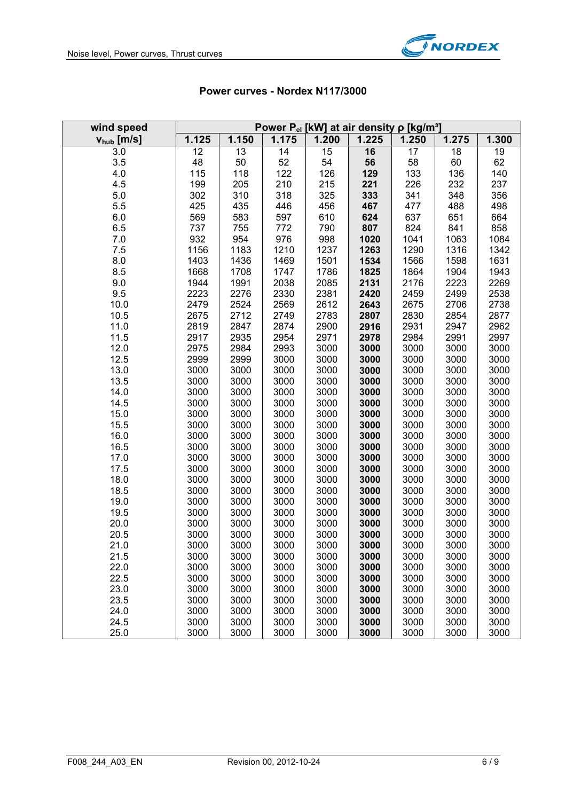

| wind speed             | Power $P_{el}$ [kW] at air density $\rho$ [kg/m <sup>3</sup> ] |              |              |              |              |              |              |              |  |
|------------------------|----------------------------------------------------------------|--------------|--------------|--------------|--------------|--------------|--------------|--------------|--|
| $v_{\text{hub}}$ [m/s] | 1.125                                                          | 1.150        | 1.175        | 1.200        | 1.225        | 1.250        | 1.275        | 1.300        |  |
| 3.0                    | 12                                                             | 13           | 14           | 15           | 16           | 17           | 18           | 19           |  |
| 3.5                    | 48                                                             | 50           | 52           | 54           | 56           | 58           | 60           | 62           |  |
| 4.0                    | 115                                                            | 118          | 122          | 126          | 129          | 133          | 136          | 140          |  |
| 4.5                    | 199                                                            | 205          | 210          | 215          | 221          | 226          | 232          | 237          |  |
| 5.0                    | 302                                                            | 310          | 318          | 325          | 333          | 341          | 348          | 356          |  |
| 5.5                    | 425                                                            | 435          | 446          | 456          | 467          | 477          | 488          | 498          |  |
| 6.0                    | 569                                                            | 583          | 597          | 610          | 624          | 637          | 651          | 664          |  |
| 6.5                    | 737                                                            | 755          | 772          | 790          | 807          | 824          | 841          | 858          |  |
| 7.0                    | 932                                                            | 954          | 976          | 998          | 1020         | 1041         | 1063         | 1084         |  |
| 7.5                    | 1156                                                           | 1183         | 1210         | 1237         | 1263         | 1290         | 1316         | 1342         |  |
| 8.0                    | 1403                                                           | 1436         | 1469         | 1501         | 1534         | 1566         | 1598         | 1631         |  |
| 8.5                    | 1668                                                           | 1708         | 1747         | 1786         | 1825         | 1864         | 1904         | 1943         |  |
| 9.0<br>9.5             | 1944<br>2223                                                   | 1991<br>2276 | 2038<br>2330 | 2085<br>2381 | 2131<br>2420 | 2176<br>2459 | 2223<br>2499 | 2269<br>2538 |  |
| 10.0                   | 2479                                                           | 2524         | 2569         | 2612         | 2643         | 2675         | 2706         | 2738         |  |
| 10.5                   | 2675                                                           | 2712         | 2749         | 2783         | 2807         | 2830         | 2854         | 2877         |  |
| 11.0                   | 2819                                                           | 2847         | 2874         | 2900         | 2916         | 2931         | 2947         | 2962         |  |
| 11.5                   | 2917                                                           | 2935         | 2954         | 2971         | 2978         | 2984         | 2991         | 2997         |  |
| 12.0                   | 2975                                                           | 2984         | 2993         | 3000         | 3000         | 3000         | 3000         | 3000         |  |
| 12.5                   | 2999                                                           | 2999         | 3000         | 3000         | 3000         | 3000         | 3000         | 3000         |  |
| 13.0                   | 3000                                                           | 3000         | 3000         | 3000         | 3000         | 3000         | 3000         | 3000         |  |
| 13.5                   | 3000                                                           | 3000         | 3000         | 3000         | 3000         | 3000         | 3000         | 3000         |  |
| 14.0                   | 3000                                                           | 3000         | 3000         | 3000         | 3000         | 3000         | 3000         | 3000         |  |
| 14.5                   | 3000                                                           | 3000         | 3000         | 3000         | 3000         | 3000         | 3000         | 3000         |  |
| 15.0                   | 3000                                                           | 3000         | 3000         | 3000         | 3000         | 3000         | 3000         | 3000         |  |
| 15.5                   | 3000                                                           | 3000         | 3000         | 3000         | 3000         | 3000         | 3000         | 3000         |  |
| 16.0                   | 3000                                                           | 3000         | 3000         | 3000         | 3000         | 3000         | 3000         | 3000         |  |
| 16.5                   | 3000                                                           | 3000         | 3000         | 3000         | 3000         | 3000         | 3000         | 3000         |  |
| 17.0                   | 3000                                                           | 3000         | 3000         | 3000         | 3000         | 3000         | 3000         | 3000         |  |
| 17.5                   | 3000                                                           | 3000         | 3000         | 3000         | 3000         | 3000         | 3000         | 3000         |  |
| 18.0                   | 3000                                                           | 3000         | 3000         | 3000         | 3000         | 3000         | 3000         | 3000         |  |
| 18.5                   | 3000                                                           | 3000         | 3000         | 3000         | 3000         | 3000         | 3000         | 3000         |  |
| 19.0                   | 3000                                                           | 3000         | 3000         | 3000         | 3000         | 3000         | 3000         | 3000         |  |
| 19.5                   | 3000                                                           | 3000         | 3000         | 3000         | 3000         | 3000         | 3000         | 3000         |  |
| 20.0                   | 3000                                                           | 3000         | 3000         | 3000         | 3000         | 3000         | 3000         | 3000         |  |
| 20.5                   | 3000<br>3000                                                   | 3000         | 3000         | 3000         | 3000         | 3000         | 3000<br>3000 | 3000         |  |
| 21.0<br>21.5           | 3000                                                           | 3000<br>3000 | 3000<br>3000 | 3000<br>3000 | 3000<br>3000 | 3000<br>3000 | 3000         | 3000<br>3000 |  |
| 22.0                   | 3000                                                           | 3000         | 3000         | 3000         | 3000         | 3000         | 3000         | 3000         |  |
| 22.5                   | 3000                                                           | 3000         | 3000         | 3000         | 3000         | 3000         | 3000         | 3000         |  |
| 23.0                   | 3000                                                           | 3000         | 3000         | 3000         | 3000         | 3000         | 3000         | 3000         |  |
| 23.5                   | 3000                                                           | 3000         | 3000         | 3000         | 3000         | 3000         | 3000         | 3000         |  |
| 24.0                   | 3000                                                           | 3000         | 3000         | 3000         | 3000         | 3000         | 3000         | 3000         |  |
| 24.5                   | 3000                                                           | 3000         | 3000         | 3000         | 3000         | 3000         | 3000         | 3000         |  |
| 25.0                   | 3000                                                           | 3000         | 3000         | 3000         | 3000         | 3000         | 3000         | 3000         |  |

# **Power curves - Nordex N117/3000**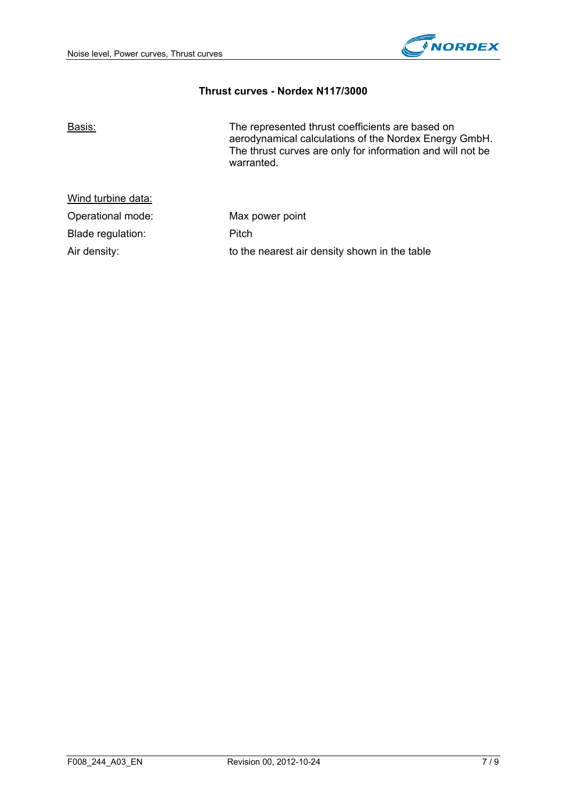

#### **Thrust curves - Nordex N117/3000**

| Basis:             | The represented thrust coefficients are based on<br>aerodynamical calculations of the Nordex Energy GmbH.<br>The thrust curves are only for information and will not be<br>warranted. |
|--------------------|---------------------------------------------------------------------------------------------------------------------------------------------------------------------------------------|
| Wind turbine data: |                                                                                                                                                                                       |
| Operational mode:  | Max power point                                                                                                                                                                       |
| Blade regulation:  | Pitch                                                                                                                                                                                 |
| Air density:       | to the nearest air density shown in the table                                                                                                                                         |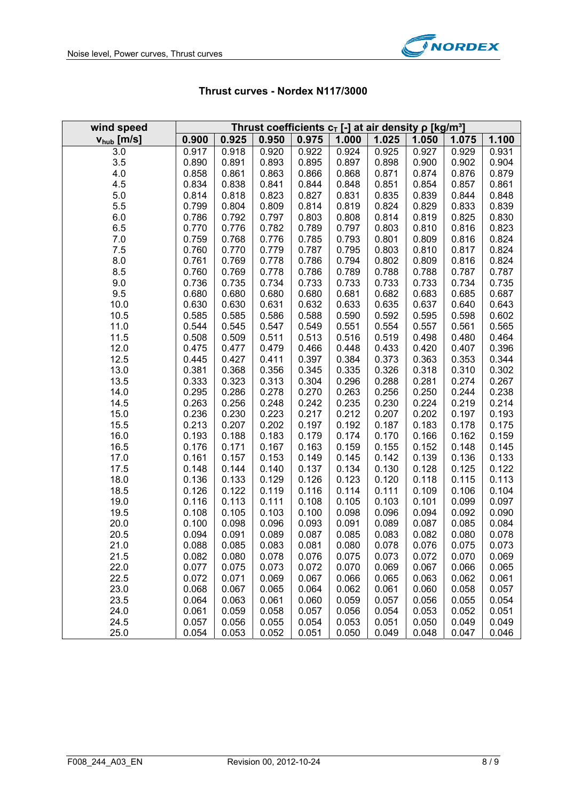

| wind speed             | Thrust coefficients $c_T$ [-] at air density $\rho$ [kg/m <sup>3</sup> ] |                |                |                |                |                |                |                |                |
|------------------------|--------------------------------------------------------------------------|----------------|----------------|----------------|----------------|----------------|----------------|----------------|----------------|
| $V_{\text{hub}}$ [m/s] | 0.900                                                                    | 0.925          | 0.950          | 0.975          | 1.000          | 1.025          | 1.050          | 1.075          | 1.100          |
| 3.0                    | 0.917                                                                    | 0.918          | 0.920          | 0.922          | 0.924          | 0.925          | 0.927          | 0.929          | 0.931          |
| 3.5                    | 0.890                                                                    | 0.891          | 0.893          | 0.895          | 0.897          | 0.898          | 0.900          | 0.902          | 0.904          |
| 4.0                    | 0.858                                                                    | 0.861          | 0.863          | 0.866          | 0.868          | 0.871          | 0.874          | 0.876          | 0.879          |
| 4.5                    | 0.834                                                                    | 0.838          | 0.841          | 0.844          | 0.848          | 0.851          | 0.854          | 0.857          | 0.861          |
| 5.0                    | 0.814                                                                    | 0.818          | 0.823          | 0.827          | 0.831          | 0.835          | 0.839          | 0.844          | 0.848          |
| 5.5                    | 0.799                                                                    | 0.804          | 0.809          | 0.814          | 0.819          | 0.824          | 0.829          | 0.833          | 0.839          |
| 6.0                    | 0.786                                                                    | 0.792          | 0.797          | 0.803          | 0.808          | 0.814          | 0.819          | 0.825          | 0.830          |
| $6.5\,$                | 0.770                                                                    | 0.776          | 0.782          | 0.789          | 0.797          | 0.803          | 0.810          | 0.816          | 0.823          |
| 7.0                    | 0.759                                                                    | 0.768          | 0.776          | 0.785          | 0.793          | 0.801          | 0.809          | 0.816          | 0.824          |
| 7.5                    | 0.760                                                                    | 0.770          | 0.779          | 0.787          | 0.795          | 0.803          | 0.810          | 0.817          | 0.824          |
| 8.0                    | 0.761                                                                    | 0.769          | 0.778          | 0.786          | 0.794          | 0.802          | 0.809          | 0.816          | 0.824          |
| 8.5                    | 0.760                                                                    | 0.769          | 0.778          | 0.786          | 0.789          | 0.788          | 0.788          | 0.787          | 0.787          |
| 9.0                    | 0.736                                                                    | 0.735          | 0.734          | 0.733          | 0.733          | 0.733          | 0.733          | 0.734          | 0.735          |
| 9.5                    | 0.680                                                                    | 0.680          | 0.680          | 0.680          | 0.681          | 0.682          | 0.683          | 0.685          | 0.687          |
| 10.0                   | 0.630                                                                    | 0.630          | 0.631          | 0.632          | 0.633          | 0.635          | 0.637          | 0.640          | 0.643          |
| 10.5                   | 0.585                                                                    | 0.585          | 0.586          | 0.588          | 0.590          | 0.592          | 0.595          | 0.598          | 0.602          |
| 11.0                   | 0.544                                                                    | 0.545          | 0.547          | 0.549          | 0.551          | 0.554          | 0.557          | 0.561          | 0.565          |
| 11.5                   | 0.508                                                                    | 0.509          | 0.511          | 0.513          | 0.516          | 0.519          | 0.498          | 0.480          | 0.464          |
| 12.0                   | 0.475                                                                    | 0.477          | 0.479          | 0.466          | 0.448          | 0.433          | 0.420          | 0.407          | 0.396          |
| 12.5                   | 0.445                                                                    | 0.427          | 0.411          | 0.397          | 0.384          | 0.373          | 0.363          | 0.353          | 0.344          |
| 13.0                   | 0.381                                                                    | 0.368          | 0.356          | 0.345          | 0.335          | 0.326          | 0.318          | 0.310          | 0.302          |
| 13.5<br>14.0           | 0.333<br>0.295                                                           | 0.323<br>0.286 | 0.313<br>0.278 | 0.304<br>0.270 | 0.296<br>0.263 | 0.288<br>0.256 | 0.281<br>0.250 | 0.274<br>0.244 | 0.267<br>0.238 |
| 14.5                   | 0.263                                                                    | 0.256          | 0.248          | 0.242          | 0.235          | 0.230          | 0.224          | 0.219          | 0.214          |
| 15.0                   | 0.236                                                                    | 0.230          | 0.223          | 0.217          | 0.212          | 0.207          | 0.202          | 0.197          | 0.193          |
| 15.5                   | 0.213                                                                    | 0.207          | 0.202          | 0.197          | 0.192          | 0.187          | 0.183          | 0.178          | 0.175          |
| 16.0                   | 0.193                                                                    | 0.188          | 0.183          | 0.179          | 0.174          | 0.170          | 0.166          | 0.162          | 0.159          |
| 16.5                   | 0.176                                                                    | 0.171          | 0.167          | 0.163          | 0.159          | 0.155          | 0.152          | 0.148          | 0.145          |
| 17.0                   | 0.161                                                                    | 0.157          | 0.153          | 0.149          | 0.145          | 0.142          | 0.139          | 0.136          | 0.133          |
| 17.5                   | 0.148                                                                    | 0.144          | 0.140          | 0.137          | 0.134          | 0.130          | 0.128          | 0.125          | 0.122          |
| 18.0                   | 0.136                                                                    | 0.133          | 0.129          | 0.126          | 0.123          | 0.120          | 0.118          | 0.115          | 0.113          |
| 18.5                   | 0.126                                                                    | 0.122          | 0.119          | 0.116          | 0.114          | 0.111          | 0.109          | 0.106          | 0.104          |
| 19.0                   | 0.116                                                                    | 0.113          | 0.111          | 0.108          | 0.105          | 0.103          | 0.101          | 0.099          | 0.097          |
| 19.5                   | 0.108                                                                    | 0.105          | 0.103          | 0.100          | 0.098          | 0.096          | 0.094          | 0.092          | 0.090          |
| 20.0                   | 0.100                                                                    | 0.098          | 0.096          | 0.093          | 0.091          | 0.089          | 0.087          | 0.085          | 0.084          |
| 20.5                   | 0.094                                                                    | 0.091          | 0.089          | 0.087          | 0.085          | 0.083          | 0.082          | 0.080          | 0.078          |
| 21.0                   | 0.088                                                                    | 0.085          | 0.083          | 0.081          | 0.080          | 0.078          | 0.076          | 0.075          | 0.073          |
| 21.5                   | 0.082                                                                    | 0.080          | 0.078          | 0.076          | 0.075          | 0.073          | 0.072          | 0.070          | 0.069          |
| 22.0                   | 0.077                                                                    | 0.075          | 0.073          | 0.072          | 0.070          | 0.069          | 0.067          | 0.066          | 0.065          |
| 22.5                   | 0.072                                                                    | 0.071          | 0.069          | 0.067          | 0.066          | 0.065          | 0.063          | 0.062          | 0.061          |
| 23.0                   | 0.068                                                                    | 0.067          | 0.065          | 0.064          | 0.062          | 0.061          | 0.060          | 0.058          | 0.057          |
| 23.5                   | 0.064                                                                    | 0.063          | 0.061          | 0.060          | 0.059          | 0.057          | 0.056          | 0.055          | 0.054          |
| 24.0                   | 0.061                                                                    | 0.059          | 0.058          | 0.057          | 0.056          | 0.054          | 0.053          | 0.052          | 0.051          |
| 24.5                   | 0.057                                                                    | 0.056          | 0.055          | 0.054          | 0.053          | 0.051          | 0.050          | 0.049          | 0.049          |
| 25.0                   | 0.054                                                                    | 0.053          | 0.052          | 0.051          | 0.050          | 0.049          | 0.048          | 0.047          | 0.046          |

### **Thrust curves - Nordex N117/3000**